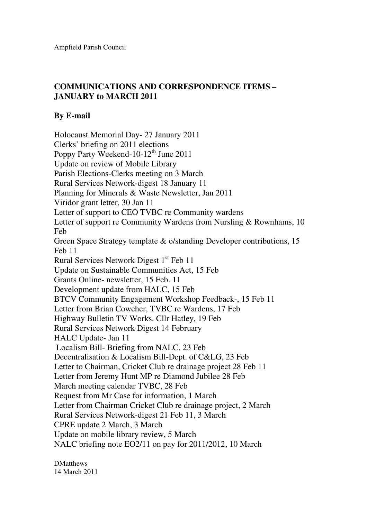## **COMMUNICATIONS AND CORRESPONDENCE ITEMS – JANUARY to MARCH 2011**

## **By E-mail**

Holocaust Memorial Day- 27 January 2011 Clerks' briefing on 2011 elections Poppy Party Weekend-10-12<sup>th</sup> June 2011 Update on review of Mobile Library Parish Elections-Clerks meeting on 3 March Rural Services Network-digest 18 January 11 Planning for Minerals & Waste Newsletter, Jan 2011 Viridor grant letter, 30 Jan 11 Letter of support to CEO TVBC re Community wardens Letter of support re Community Wardens from Nursling & Rownhams, 10 Feb Green Space Strategy template & o/standing Developer contributions, 15 Feb 11 Rural Services Network Digest  $1<sup>st</sup>$  Feb 11 Update on Sustainable Communities Act, 15 Feb Grants Online- newsletter, 15 Feb. 11 Development update from HALC, 15 Feb BTCV Community Engagement Workshop Feedback-, 15 Feb 11 Letter from Brian Cowcher, TVBC re Wardens, 17 Feb Highway Bulletin TV Works. Cllr Hatley, 19 Feb Rural Services Network Digest 14 February HALC Update- Jan 11 Localism Bill- Briefing from NALC, 23 Feb Decentralisation & Localism Bill-Dept. of C&LG, 23 Feb Letter to Chairman, Cricket Club re drainage project 28 Feb 11 Letter from Jeremy Hunt MP re Diamond Jubilee 28 Feb March meeting calendar TVBC, 28 Feb Request from Mr Case for information, 1 March Letter from Chairman Cricket Club re drainage project, 2 March Rural Services Network-digest 21 Feb 11, 3 March CPRE update 2 March, 3 March Update on mobile library review, 5 March NALC briefing note EO2/11 on pay for 2011/2012, 10 March

**DMatthews** 14 March 2011